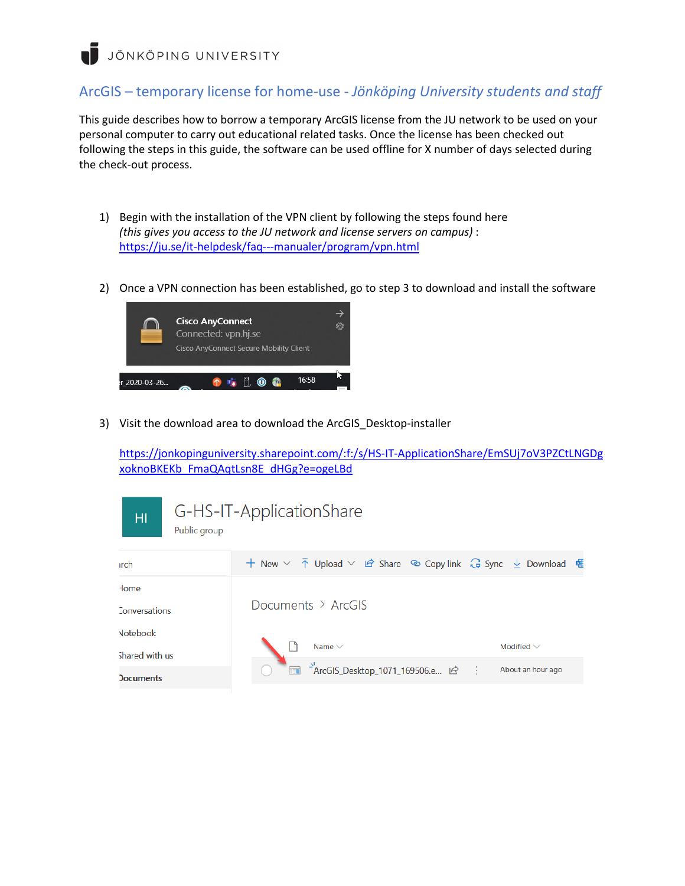JÖNKÖPING UNIVERSITY

## ArcGIS – temporary license for home-use - *Jönköping University students and staff*

This guide describes how to borrow a temporary ArcGIS license from the JU network to be used on your personal computer to carry out educational related tasks. Once the license has been checked out following the steps in this guide, the software can be used offline for X number of days selected during the check-out process.

- 1) Begin with the installation of the VPN client by following the steps found here *(this gives you access to the JU network and license servers on campus)* : <https://ju.se/it-helpdesk/faq---manualer/program/vpn.html>
- 2) Once a VPN connection has been established, go to step 3 to download and install the software



3) Visit the download area to download the ArcGIS\_Desktop-installer

[https://jonkopinguniversity.sharepoint.com/:f:/s/HS-IT-ApplicationShare/EmSUj7oV3PZCtLNGDg](https://jonkopinguniversity.sharepoint.com/:f:/s/HS-IT-ApplicationShare/EmSUj7oV3PZCtLNGDgxoknoBKEKb_FmaQAqtLsn8E_dHGg?e=ogeLBd) [xoknoBKEKb\\_FmaQAqtLsn8E\\_dHGg?e=ogeLBd](https://jonkopinguniversity.sharepoint.com/:f:/s/HS-IT-ApplicationShare/EmSUj7oV3PZCtLNGDgxoknoBKEKb_FmaQAqtLsn8E_dHGg?e=ogeLBd)

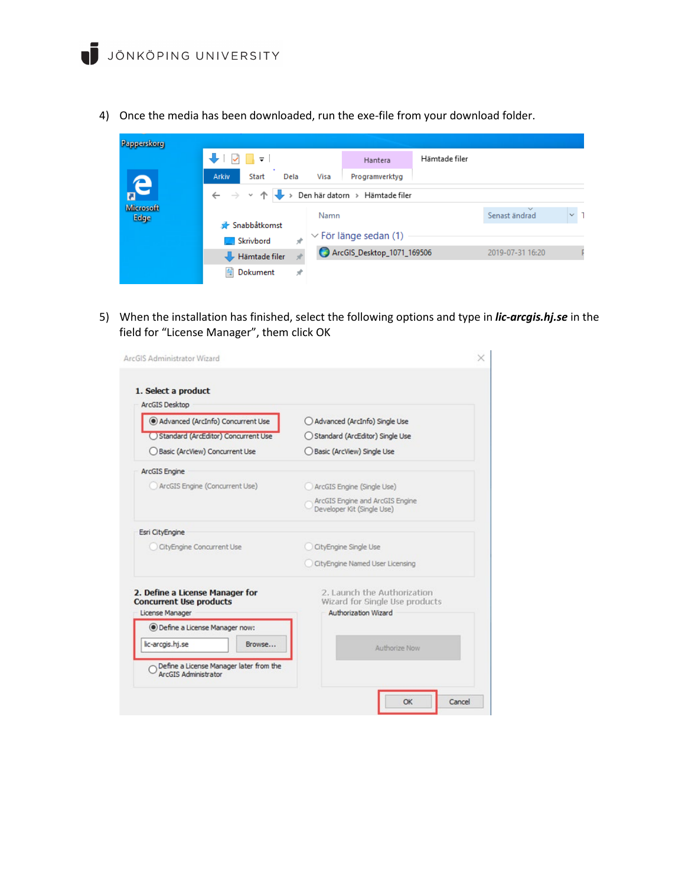4) Once the media has been downloaded, run the exe-file from your download folder.

| Papperskorg              |                                                                               |                            |                            |                  |               |          |  |  |
|--------------------------|-------------------------------------------------------------------------------|----------------------------|----------------------------|------------------|---------------|----------|--|--|
|                          | $\sqrt{2}$                                                                    |                            | Hantera                    | Hämtade filer    |               |          |  |  |
|                          | Arkiv<br><b>Start</b><br>Dela                                                 | Visa                       | Programverktyg             |                  |               |          |  |  |
| e                        | Den här datorn > Hämtade filer<br>$\rightarrow$ $\rightarrow$<br>$\leftarrow$ |                            |                            |                  |               |          |  |  |
| <b>Microsoft</b><br>Edge |                                                                               | Namn                       |                            |                  | Senast ändrad | $\sim$ 1 |  |  |
|                          | Snabbåtkomst                                                                  |                            |                            |                  |               |          |  |  |
|                          | Skrivbord<br>À                                                                | $\vee$ För länge sedan (1) |                            |                  |               |          |  |  |
|                          | Hämtade filer                                                                 |                            | ArcGIS_Desktop_1071_169506 | 2019-07-31 16:20 |               |          |  |  |
|                          | е<br>Dokument<br>À                                                            |                            |                            |                  |               |          |  |  |

5) When the installation has finished, select the following options and type in *lic-arcgis.hj.se* in the field for "License Manager", them click OK